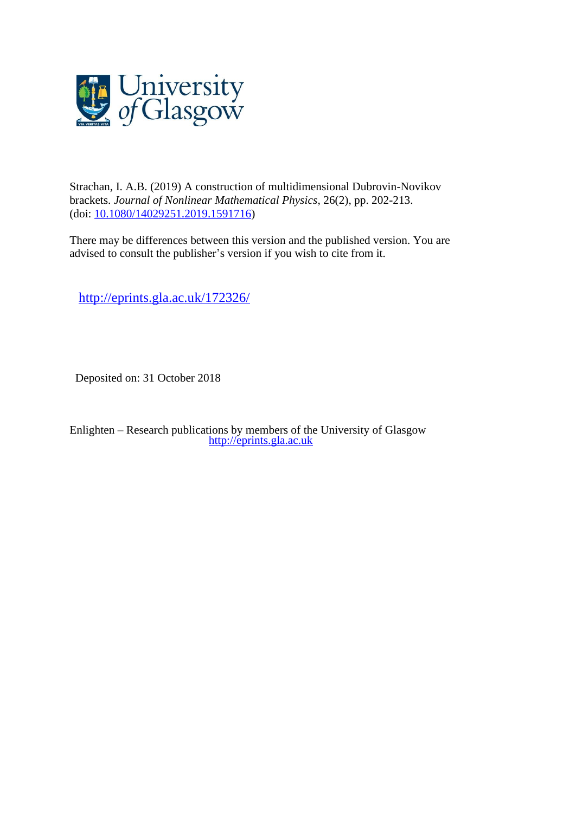

Strachan, I. A.B. (2019) A construction of multidimensional Dubrovin-Novikov brackets. *Journal of Nonlinear Mathematical Physics*, 26(2), pp. 202-213. (doi: [10.1080/14029251.2019.1591716\)](http://dx.doi.org/10.1080/14029251.2019.1591716)

There may be differences between this version and the published version. You are advised to consult the publisher's version if you wish to cite from it.

<http://eprints.gla.ac.uk/172326/>

Deposited on: 31 October 2018

Enlighten – Research publications by members of the University of Glasgow [http://eprints.gla.ac.uk](http://eprints.gla.ac.uk/)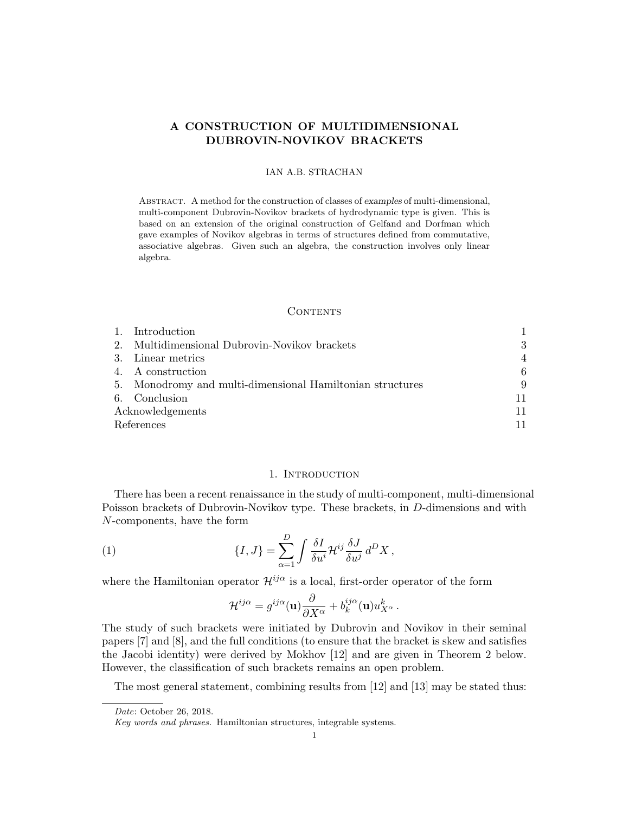# A CONSTRUCTION OF MULTIDIMENSIONAL DUBROVIN-NOVIKOV BRACKETS

### IAN A.B. STRACHAN

Abstract. A method for the construction of classes of examples of multi-dimensional, multi-component Dubrovin-Novikov brackets of hydrodynamic type is given. This is based on an extension of the original construction of Gelfand and Dorfman which gave examples of Novikov algebras in terms of structures defined from commutative, associative algebras. Given such an algebra, the construction involves only linear algebra.

#### **CONTENTS**

|                  | 1. Introduction                                           |    |
|------------------|-----------------------------------------------------------|----|
|                  | 2. Multidimensional Dubrovin-Novikov brackets             | 3  |
|                  | 3. Linear metrics                                         | 4  |
|                  | 4. A construction                                         | 6  |
|                  | 5. Monodromy and multi-dimensional Hamiltonian structures | 9  |
|                  | 6. Conclusion                                             | 11 |
| Acknowledgements |                                                           |    |
| References       |                                                           |    |

## 1. INTRODUCTION

There has been a recent renaissance in the study of multi-component, multi-dimensional Poisson brackets of Dubrovin-Novikov type. These brackets, in D-dimensions and with N-components, have the form

(1) 
$$
\{I,J\} = \sum_{\alpha=1}^{D} \int \frac{\delta I}{\delta u^i} \mathcal{H}^{ij} \frac{\delta J}{\delta u^j} d^D X,
$$

where the Hamiltonian operator  $\mathcal{H}^{ij\alpha}$  is a local, first-order operator of the form

$$
\mathcal{H}^{ij\alpha} = g^{ij\alpha}(\mathbf{u}) \frac{\partial}{\partial X^{\alpha}} + b_k^{ij\alpha}(\mathbf{u}) u_{X^{\alpha}}^k.
$$

The study of such brackets were initiated by Dubrovin and Novikov in their seminal papers [7] and [8], and the full conditions (to ensure that the bracket is skew and satisfies the Jacobi identity) were derived by Mokhov [12] and are given in Theorem 2 below. However, the classification of such brackets remains an open problem.

The most general statement, combining results from [12] and [13] may be stated thus:

Date: October 26, 2018.

Key words and phrases. Hamiltonian structures, integrable systems.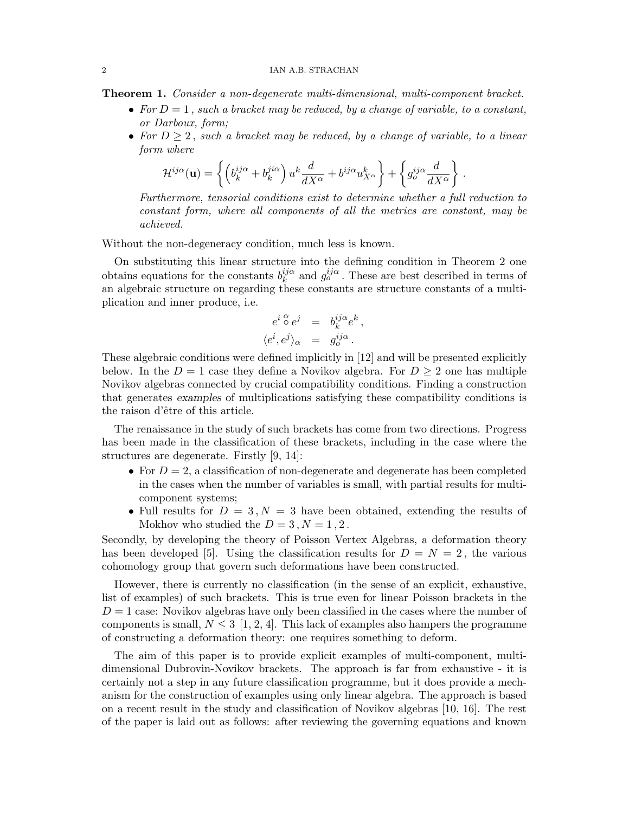Theorem 1. Consider a non-degenerate multi-dimensional, multi-component bracket.

- For  $D = 1$ , such a bracket may be reduced, by a change of variable, to a constant, or Darboux, form;
- For  $D \geq 2$ , such a bracket may be reduced, by a change of variable, to a linear form where

$$
\mathcal{H}^{ij\alpha}(\mathbf{u}) = \left\{ \left( b_k^{ij\alpha} + b_k^{ji\alpha} \right) u^k \frac{d}{dX^{\alpha}} + b^{ij\alpha} u_{X^{\alpha}}^k \right\} + \left\{ g_o^{ij\alpha} \frac{d}{dX^{\alpha}} \right\}.
$$

Furthermore, tensorial conditions exist to determine whether a full reduction to constant form, where all components of all the metrics are constant, may be achieved.

Without the non-degeneracy condition, much less is known.

On substituting this linear structure into the defining condition in Theorem 2 one obtains equations for the constants  $b_k^{ij\alpha}$  $\frac{ij\alpha}{k}$  and  $g_o^{ij\alpha}$ . These are best described in terms of an algebraic structure on regarding these constants are structure constants of a multiplication and inner produce, i.e.

$$
\begin{array}{rcl}\n e^i \stackrel{\alpha}{\circ} e^j &=& b^{ij \alpha}_k e^k, \\
 \langle e^i, e^j \rangle_{\alpha} &=& g^{ij \alpha}_o.\n \end{array}
$$

These algebraic conditions were defined implicitly in [12] and will be presented explicitly below. In the  $D = 1$  case they define a Novikov algebra. For  $D \geq 2$  one has multiple Novikov algebras connected by crucial compatibility conditions. Finding a construction that generates examples of multiplications satisfying these compatibility conditions is the raison d'être of this article.

The renaissance in the study of such brackets has come from two directions. Progress has been made in the classification of these brackets, including in the case where the structures are degenerate. Firstly [9, 14]:

- For  $D=2$ , a classification of non-degenerate and degenerate has been completed in the cases when the number of variables is small, with partial results for multicomponent systems;
- Full results for  $D = 3, N = 3$  have been obtained, extending the results of Mokhov who studied the  $D = 3, N = 1, 2$ .

Secondly, by developing the theory of Poisson Vertex Algebras, a deformation theory has been developed [5]. Using the classification results for  $D = N = 2$ , the various cohomology group that govern such deformations have been constructed.

However, there is currently no classification (in the sense of an explicit, exhaustive, list of examples) of such brackets. This is true even for linear Poisson brackets in the  $D = 1$  case: Novikov algebras have only been classified in the cases where the number of components is small,  $N \leq 3$  [1, 2, 4]. This lack of examples also hampers the programme of constructing a deformation theory: one requires something to deform.

The aim of this paper is to provide explicit examples of multi-component, multidimensional Dubrovin-Novikov brackets. The approach is far from exhaustive - it is certainly not a step in any future classification programme, but it does provide a mechanism for the construction of examples using only linear algebra. The approach is based on a recent result in the study and classification of Novikov algebras [10, 16]. The rest of the paper is laid out as follows: after reviewing the governing equations and known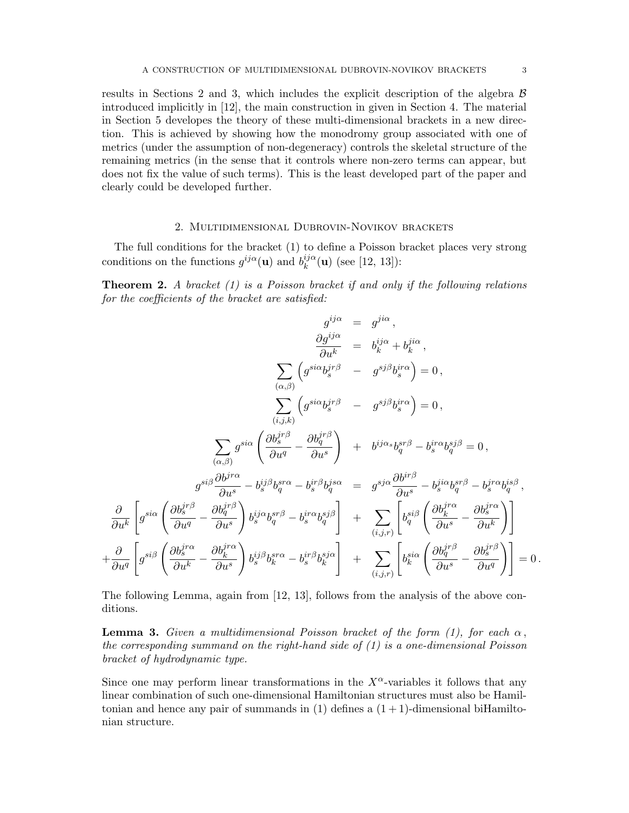results in Sections 2 and 3, which includes the explicit description of the algebra  $\beta$ introduced implicitly in [12], the main construction in given in Section 4. The material in Section 5 developes the theory of these multi-dimensional brackets in a new direction. This is achieved by showing how the monodromy group associated with one of metrics (under the assumption of non-degeneracy) controls the skeletal structure of the remaining metrics (in the sense that it controls where non-zero terms can appear, but does not fix the value of such terms). This is the least developed part of the paper and clearly could be developed further.

### 2. Multidimensional Dubrovin-Novikov brackets

The full conditions for the bracket (1) to define a Poisson bracket places very strong conditions on the functions  $g^{ij\alpha}(\mathbf{u})$  and  $b_k^{ij\alpha}$  $\binom{v}{k}$ (**u**) (see [12, 13]):

**Theorem 2.** A bracket  $(1)$  is a Poisson bracket if and only if the following relations for the coefficients of the bracket are satisfied:

$$
g^{ij\alpha} = g^{ji\alpha},
$$
  
\n
$$
\frac{\partial g^{ij\alpha}}{\partial u^k} = b^{ij\alpha}_{k} + b^{ji\alpha}_{k},
$$
  
\n
$$
\sum_{(\alpha,\beta)} \left( g^{si\alpha} b^{jr\beta}_{s} - g^{sj\beta} b^{ir\alpha}_{s} \right) = 0,
$$
  
\n
$$
\sum_{(\alpha,\beta)} g^{si\alpha} \left( \frac{\partial b^{jr\beta}_{s}}{\partial u^{q}} - \frac{\partial b^{jr\beta}_{q}}{\partial u^{s}} \right) + b^{ij\alpha s} b^{sr\beta}_{q} - b^{ir\alpha}_{s} b^{sj\beta}_{q} = 0,
$$
  
\n
$$
g^{si\beta} \frac{\partial b^{jr\alpha}}{\partial u^{s}} - b^{ij\beta}_{s} b^{sr\alpha}_{q} - b^{ir\beta}_{s} b^{js\alpha}_{q} = g^{sj\alpha} \frac{\partial b^{jr\beta}}{\partial u^{s}} - b^{ji\alpha}_{s} b^{sj\beta}_{q} - b^{jr\alpha}_{s} b^{is\beta}_{q},
$$
  
\n
$$
\frac{\partial}{\partial u^{k}} \left[ g^{si\alpha} \left( \frac{\partial b^{jr\beta}_{s}}{\partial u^{q}} - \frac{\partial b^{jr\beta}_{q}}{\partial u^{s}} \right) b^{ij\alpha}_{s} b^{sr\beta}_{q} - b^{ir\alpha}_{s} b^{sj\beta}_{q} \right] + \sum_{(i,j,r)} \left[ b^{si\beta}_{q} \left( \frac{\partial b^{jr\alpha}_{k}}{\partial u^{s}} - \frac{\partial b^{jr\alpha}_{s}}{\partial u^{k}} \right) \right]
$$
  
\n
$$
+ \frac{\partial}{\partial u^{q}} \left[ g^{si\beta} \left( \frac{\partial b^{jr\alpha}_{s}}{\partial u^{k}} - \frac{\partial b^{jr\alpha}_{s}}{\partial u^{s}} \right) b^{ij\beta}_{s} b^{sr\alpha}_{s} - b^{ir\beta}_{s} b^{sj\alpha}_{k} \right] + \sum_{(i,j,r)} \left[ b^{si\alpha}_{k} \left( \frac{\partial b^{jr\beta}_{q}}{\partial u^{s}} - \frac{\partial b^{jr\beta}_{s}}{\partial u^{q}} \right) \right] = 0.
$$

The following Lemma, again from [12, 13], follows from the analysis of the above conditions.

**Lemma 3.** Given a multidimensional Poisson bracket of the form (1), for each  $\alpha$ , the corresponding summand on the right-hand side of (1) is a one-dimensional Poisson bracket of hydrodynamic type.

Since one may perform linear transformations in the  $X^{\alpha}$ -variables it follows that any linear combination of such one-dimensional Hamiltonian structures must also be Hamiltonian and hence any pair of summands in  $(1)$  defines a  $(1 + 1)$ -dimensional biHamiltonian structure.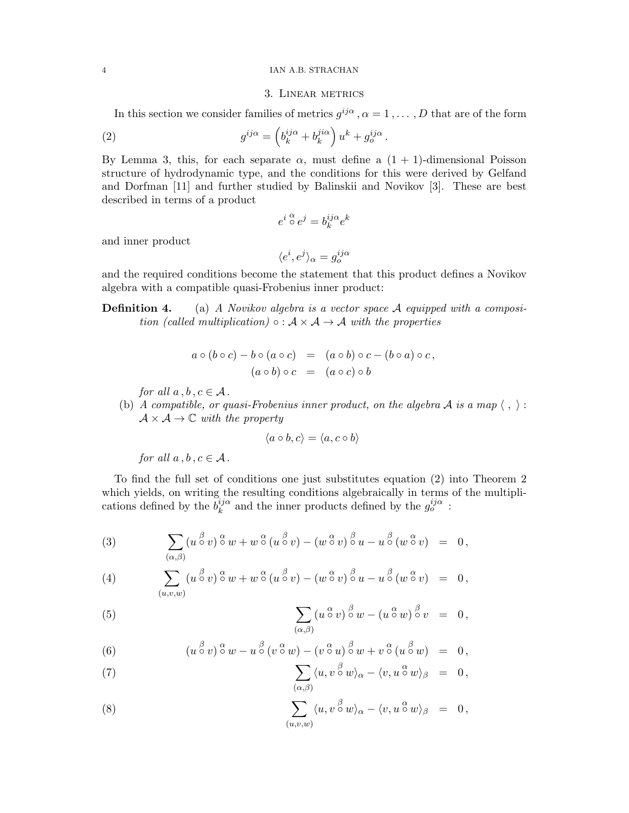#### 4 IAN A.B. STRACHAN

### 3. Linear metrics

In this section we consider families of metrics  $g^{ij\alpha}$ ,  $\alpha = 1, \ldots, D$  that are of the form

.

(2) 
$$
g^{ij\alpha} = \left(b_k^{ij\alpha} + b_k^{ji\alpha}\right)u^k + g_o^{ij\alpha}
$$

By Lemma 3, this, for each separate  $\alpha$ , must define a  $(1 + 1)$ -dimensional Poisson structure of hydrodynamic type, and the conditions for this were derived by Gelfand and Dorfman [11] and further studied by Balinskii and Novikov [3]. These are best described in terms of a product

$$
e^{i \alpha} \circ e^j = b_k^{ij\alpha} e^k
$$

and inner product

$$
\langle e^i, e^j \rangle_\alpha = g^{ij\alpha}_o
$$

and the required conditions become the statement that this product defines a Novikov algebra with a compatible quasi-Frobenius inner product:

**Definition 4.** (a) A Novikov algebra is a vector space A equipped with a composition (called multiplication)  $\circ : A \times A \rightarrow A$  with the properties

$$
a \circ (b \circ c) - b \circ (a \circ c) = (a \circ b) \circ c - (b \circ a) \circ c,
$$
  

$$
(a \circ b) \circ c = (a \circ c) \circ b
$$

for all  $a, b, c \in A$ .

(b) A compatible, or quasi-Frobenius inner product, on the algebra A is a map  $\langle , \rangle$ :  $\mathcal{A} \times \mathcal{A} \rightarrow \mathbb{C}$  with the property

$$
\langle a \circ b, c \rangle = \langle a, c \circ b \rangle
$$

for all  $a, b, c \in A$ .

To find the full set of conditions one just substitutes equation (2) into Theorem 2 which yields, on writing the resulting conditions algebraically in terms of the multiplications defined by the  $b_k^{ij\alpha}$  $\frac{ij\alpha}{k}$  and the inner products defined by the  $g_o^{ij\alpha}$  :

(3) 
$$
\sum_{(\alpha,\beta)} (u \stackrel{\beta}{\circ} v) \stackrel{\alpha}{\circ} w + w \stackrel{\alpha}{\circ} (u \stackrel{\beta}{\circ} v) - (w \stackrel{\alpha}{\circ} v) \stackrel{\beta}{\circ} u - u \stackrel{\beta}{\circ} (w \stackrel{\alpha}{\circ} v) = 0,
$$

(4) 
$$
\sum_{(u,v,w)} (u \stackrel{\beta}{\circ} v) \stackrel{\alpha}{\circ} w + w \stackrel{\alpha}{\circ} (u \stackrel{\beta}{\circ} v) - (w \stackrel{\alpha}{\circ} v) \stackrel{\beta}{\circ} u - u \stackrel{\beta}{\circ} (w \stackrel{\alpha}{\circ} v) = 0,
$$

(5) 
$$
\sum_{(\alpha,\beta)} (u^{\alpha}v)^{\beta}w - (u^{\alpha}w)^{\beta}v = 0,
$$

(6) 
$$
(u \overset{\beta}{\circ} v) \overset{\alpha}{\circ} w - u \overset{\beta}{\circ} (v \overset{\alpha}{\circ} w) - (v \overset{\alpha}{\circ} u) \overset{\beta}{\circ} w + v \overset{\alpha}{\circ} (u \overset{\beta}{\circ} w) = 0,
$$

(7) 
$$
\sum_{(\alpha,\beta)} \langle u,v \, \stackrel{\beta}{\circ} w \rangle_{\alpha} - \langle v,u \, \stackrel{\alpha}{\circ} w \rangle_{\beta} = 0,
$$

(8) 
$$
\sum_{(u,v,w)} \langle u,v \stackrel{\beta}{\circ} w \rangle_{\alpha} - \langle v,u \stackrel{\alpha}{\circ} w \rangle_{\beta} = 0,
$$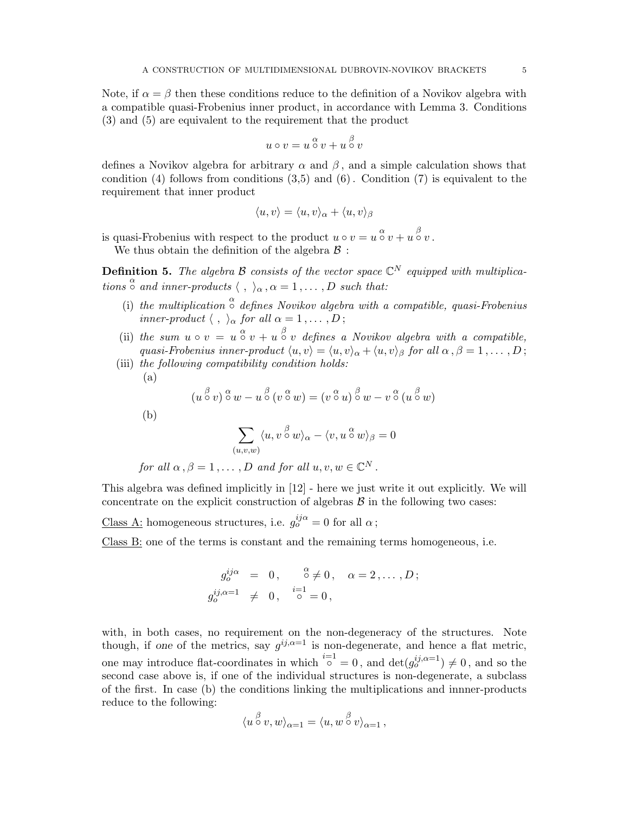Note, if  $\alpha = \beta$  then these conditions reduce to the definition of a Novikov algebra with a compatible quasi-Frobenius inner product, in accordance with Lemma 3. Conditions (3) and (5) are equivalent to the requirement that the product

$$
u \circ v = u \overset{\alpha}{\circ} v + u \overset{\beta}{\circ} v
$$

defines a Novikov algebra for arbitrary  $\alpha$  and  $\beta$ , and a simple calculation shows that condition  $(4)$  follows from conditions  $(3,5)$  and  $(6)$ . Condition  $(7)$  is equivalent to the requirement that inner product

$$
\langle u, v \rangle = \langle u, v \rangle_{\alpha} + \langle u, v \rangle_{\beta}
$$

is quasi-Frobenius with respect to the product  $u \circ v = u \overset{\alpha}{\circ} v + u \overset{\beta}{\circ} v$ . We thus obtain the definition of the algebra  $\beta$ :

**Definition 5.** The algebra B consists of the vector space  $\mathbb{C}^N$  equipped with multiplications  $\stackrel{\alpha}{\circ}$  and inner-products  $\langle , \rangle_{\alpha}, \alpha = 1, \ldots, D$  such that:

- (i) the multiplication  $\stackrel{\alpha}{\circ}$  defines Novikov algebra with a compatible, quasi-Frobenius inner-product  $\langle , \rangle_{\alpha}$  for all  $\alpha = 1, \ldots, D$ ;
- (ii) the sum  $u \circ v = u \circ v + u \circ v$  defines a Novikov algebra with a compatible, quasi-Frobenius inner-product  $\langle u, v \rangle = \langle u, v \rangle_\alpha + \langle u, v \rangle_\beta$  for all  $\alpha, \beta = 1, ..., D$ ;

(iii) the following compatibility condition holds:  
\n(a)  
\n
$$
(u \overset{\beta}{\circ} v) \overset{\alpha}{\circ} w - u \overset{\beta}{\circ} (v \overset{\alpha}{\circ} w) = (v \overset{\alpha}{\circ} u) \overset{\beta}{\circ} w - v \overset{\alpha}{\circ} (u \overset{\beta}{\circ} w)
$$
\n(b)  
\n
$$
\sum_{(u,v,w)} \langle u, v \overset{\beta}{\circ} w \rangle_{\alpha} - \langle v, u \overset{\alpha}{\circ} w \rangle_{\beta} = 0
$$
\nfor all  $\alpha, \beta = 1, ..., D$  and for all  $u, v, w \in \mathbb{C}^N$ .

This algebra was defined implicitly in [12] - here we just write it out explicitly. We will concentrate on the explicit construction of algebras  $\beta$  in the following two cases:

<u>Class A:</u> homogeneous structures, i.e.  $g_o^{ij\alpha} = 0$  for all  $\alpha$ ;

Class B: one of the terms is constant and the remaining terms homogeneous, i.e.

$$
g_o^{ij\alpha} = 0, \quad \substack{\alpha \\ \circ \neq 0, \quad \alpha = 2, \dots, D;}
$$
  

$$
g_o^{ij,\alpha=1} \neq 0, \quad \substack{i=1 \\ \circ} = 0,
$$

with, in both cases, no requirement on the non-degeneracy of the structures. Note though, if one of the metrics, say  $g^{ij,\alpha=1}$  is non-degenerate, and hence a flat metric, one may introduce flat-coordinates in which  $\sum_{i=1}^{i=1} 0$ , and  $\det(g_0^{ij,\alpha=1}) \neq 0$ , and so the second case above is, if one of the individual structures is non-degenerate, a subclass of the first. In case (b) the conditions linking the multiplications and innner-products reduce to the following:

$$
\langle u \stackrel{\beta}{\circ} v, w \rangle_{\alpha=1} = \langle u, w \stackrel{\beta}{\circ} v \rangle_{\alpha=1},
$$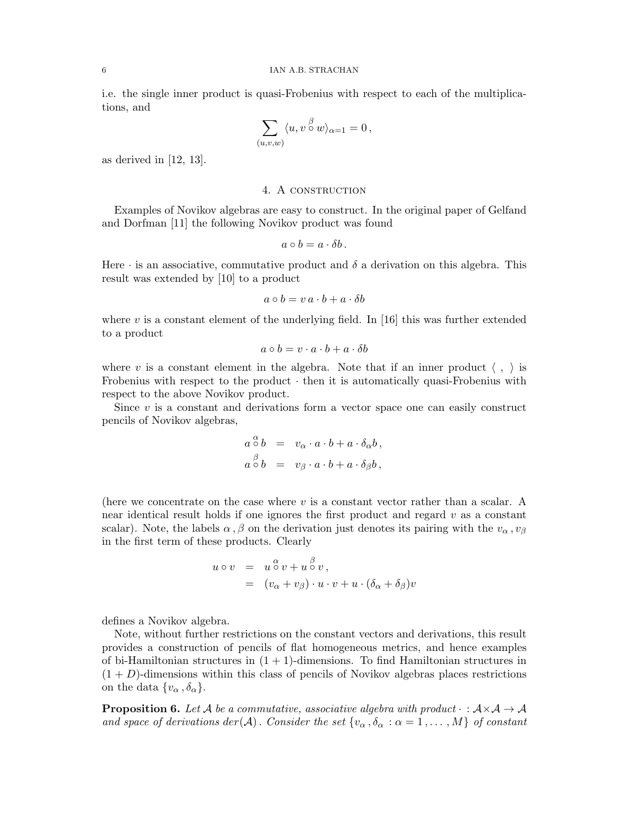i.e. the single inner product is quasi-Frobenius with respect to each of the multiplications, and

$$
\sum_{(u,v,w)} \langle u, v \stackrel{\beta}{\circ} w \rangle_{\alpha=1} = 0,
$$

as derived in [12, 13].

#### 4. A CONSTRUCTION

Examples of Novikov algebras are easy to construct. In the original paper of Gelfand and Dorfman [11] the following Novikov product was found

$$
a\circ b=a\cdot\delta b.
$$

Here  $\cdot$  is an associative, commutative product and  $\delta$  a derivation on this algebra. This result was extended by [10] to a product

$$
a \circ b = v \, a \cdot b + a \cdot \delta b
$$

where v is a constant element of the underlying field. In [16] this was further extended to a product

$$
a \circ b = v \cdot a \cdot b + a \cdot \delta b
$$

where v is a constant element in the algebra. Note that if an inner product  $\langle , \rangle$  is Frobenius with respect to the product  $\cdot$  then it is automatically quasi-Frobenius with respect to the above Novikov product.

Since  $v$  is a constant and derivations form a vector space one can easily construct pencils of Novikov algebras,

$$
a \, \overset{\alpha}{\circ} \, b = v_{\alpha} \cdot a \cdot b + a \cdot \delta_{\alpha} b ,
$$
  

$$
a \overset{\beta}{\circ} b = v_{\beta} \cdot a \cdot b + a \cdot \delta_{\beta} b ,
$$

(here we concentrate on the case where  $v$  is a constant vector rather than a scalar. A near identical result holds if one ignores the first product and regard  $v$  as a constant scalar). Note, the labels  $\alpha$ ,  $\beta$  on the derivation just denotes its pairing with the  $v_{\alpha}$ ,  $v_{\beta}$ in the first term of these products. Clearly

$$
u \circ v = u \overset{\alpha}{\circ} v + u \overset{\beta}{\circ} v, = (v_{\alpha} + v_{\beta}) \cdot u \cdot v + u \cdot (\delta_{\alpha} + \delta_{\beta})v
$$

defines a Novikov algebra.

Note, without further restrictions on the constant vectors and derivations, this result provides a construction of pencils of flat homogeneous metrics, and hence examples of bi-Hamiltonian structures in  $(1 + 1)$ -dimensions. To find Hamiltonian structures in  $(1 + D)$ -dimensions within this class of pencils of Novikov algebras places restrictions on the data  $\{v_{\alpha}, \delta_{\alpha}\}.$ 

**Proposition 6.** Let A be a commutative, associative algebra with product  $\cdot : \mathcal{A} \times \mathcal{A} \rightarrow \mathcal{A}$ and space of derivations der(A). Consider the set  $\{v_\alpha, \delta_\alpha : \alpha = 1, ..., M\}$  of constant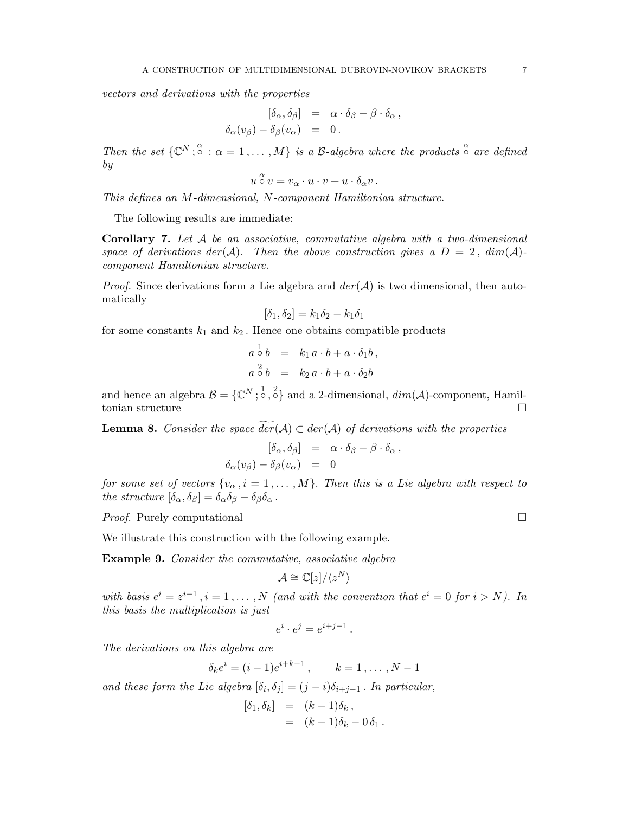vectors and derivations with the properties

$$
\begin{array}{rcl} [\delta_\alpha,\delta_\beta] &=& \alpha\cdot\delta_\beta-\beta\cdot\delta_\alpha\,,\\[2mm] \delta_\alpha(v_\beta)-\delta_\beta(v_\alpha) &=& 0\,. \end{array}
$$

Then the set  $\{ \mathbb{C}^N; \mathbb{S}^{\alpha} : \alpha = 1, \ldots, M \}$  is a B-algebra where the products  $\mathbb{S}^{\alpha}$  are defined by

$$
u \overset{\alpha}{\circ} v = v_{\alpha} \cdot u \cdot v + u \cdot \delta_{\alpha} v.
$$

This defines an M-dimensional, N-component Hamiltonian structure.

The following results are immediate:

**Corollary 7.** Let  $A$  be an associative, commutative algebra with a two-dimensional space of derivations der(A). Then the above construction gives a  $D = 2$ ,  $dim(A)$ component Hamiltonian structure.

*Proof.* Since derivations form a Lie algebra and  $der(A)$  is two dimensional, then automatically

$$
[\delta_1, \delta_2] = k_1 \delta_2 - k_1 \delta_1
$$

for some constants  $k_1$  and  $k_2$ . Hence one obtains compatible products

$$
a \stackrel{1}{\circ} b = k_1 a \cdot b + a \cdot \delta_1 b,
$$
  

$$
a \stackrel{2}{\circ} b = k_2 a \cdot b + a \cdot \delta_2 b
$$

and hence an algebra  $\mathcal{B} = \{ \mathbb{C}^N; \infty^1, \infty^2 \}$  and a 2-dimensional,  $dim(\mathcal{A})$ -component, Hamiltonian structure  $\qquad \qquad \Box$ 

**Lemma 8.** Consider the space  $der(A) \subset der(A)$  of derivations with the properties

$$
\begin{array}{rcl} [\delta_\alpha,\delta_\beta] &=& \alpha\cdot\delta_\beta-\beta\cdot\delta_\alpha\,,\\[2mm] \delta_\alpha(v_\beta)-\delta_\beta(v_\alpha) &=& 0 \end{array}
$$

for some set of vectors  $\{v_\alpha, i = 1, ..., M\}$ . Then this is a Lie algebra with respect to the structure  $[\delta_{\alpha}, \delta_{\beta}] = \delta_{\alpha} \delta_{\beta} - \delta_{\beta} \delta_{\alpha}$ .

Proof. Purely computational  $\square$ 

We illustrate this construction with the following example.

Example 9. Consider the commutative, associative algebra

$$
\mathcal{A}\cong \mathbb{C}[z]/\langle z^N\rangle
$$

with basis  $e^{i} = z^{i-1}$ ,  $i = 1, ..., N$  (and with the convention that  $e^{i} = 0$  for  $i > N$ ). In this basis the multiplication is just

$$
e^i\cdot e^j=e^{i+j-1}\,.
$$

The derivations on this algebra are

$$
\delta_k e^i = (i-1)e^{i+k-1}, \qquad k = 1, \ldots, N-1
$$

and these form the Lie algebra  $[\delta_i, \delta_j] = (j - i)\delta_{i+j-1}$ . In particular,

$$
\begin{array}{rcl} [\delta_1, \delta_k] & = & (k-1)\delta_k \,, \\ & = & (k-1)\delta_k - 0\,\delta_1 \,. \end{array}
$$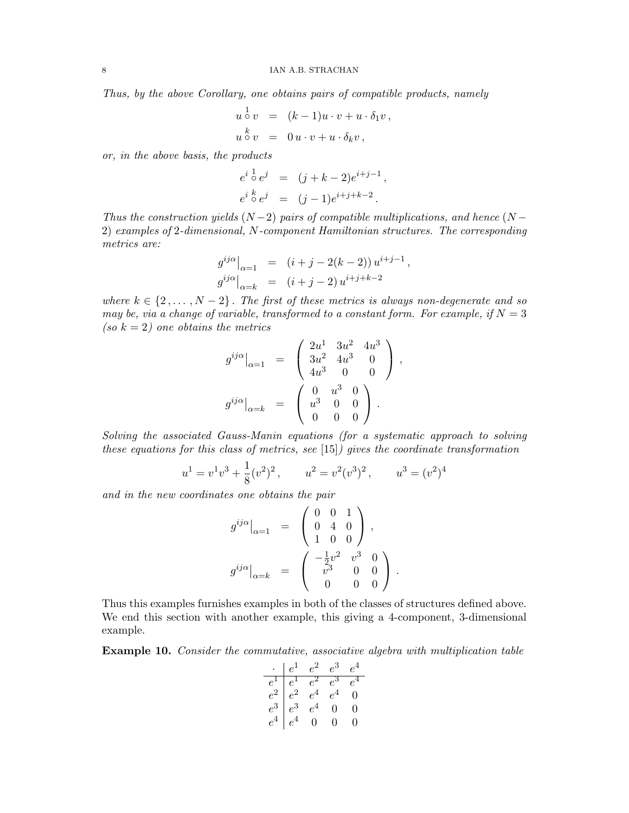Thus, by the above Corollary, one obtains pairs of compatible products, namely

$$
u \circ v = (k-1)u \cdot v + u \cdot \delta_1 v,
$$
  
\n
$$
u \circ v = 0 u \cdot v + u \cdot \delta_k v,
$$

or, in the above basis, the products

$$
e^{i \frac{1}{\circ} e^{j}}
$$
 =  $(j + k - 2)e^{i+j-1}$ ,  
\n $e^{i \frac{k}{\circ} e^{j}}$  =  $(j - 1)e^{i+j+k-2}$ .

Thus the construction yields  $(N-2)$  pairs of compatible multiplications, and hence  $(N-$ 2) examples of 2-dimensional, N-component Hamiltonian structures. The corresponding metrics are:

$$
g^{ij\alpha}|_{\alpha=1} = (i+j-2(k-2))u^{i+j-1},
$$
  
\n
$$
g^{ij\alpha}|_{\alpha=k} = (i+j-2)u^{i+j+k-2}
$$

where  $k \in \{2, \ldots, N-2\}$ . The first of these metrics is always non-degenerate and so may be, via a change of variable, transformed to a constant form. For example, if  $N = 3$ (so  $k = 2$ ) one obtains the metrics

$$
g^{ij\alpha}|_{\alpha=1} = \begin{pmatrix} 2u^1 & 3u^2 & 4u^3 \\ 3u^2 & 4u^3 & 0 \\ 4u^3 & 0 & 0 \end{pmatrix},
$$

$$
g^{ij\alpha}|_{\alpha=k} = \begin{pmatrix} 0 & u^3 & 0 \\ u^3 & 0 & 0 \\ 0 & 0 & 0 \end{pmatrix}.
$$

Solving the associated Gauss-Manin equations (for a systematic approach to solving these equations for this class of metrics, see [15]) gives the coordinate transformation

$$
u1 = v1v3 + \frac{1}{8}(v2)2
$$
,  $u2 = v2(v3)2$ ,  $u3 = (v2)4$ 

and in the new coordinates one obtains the pair

$$
g^{ij\alpha}|_{\alpha=1} = \begin{pmatrix} 0 & 0 & 1 \\ 0 & 4 & 0 \\ 1 & 0 & 0 \end{pmatrix},
$$

$$
g^{ij\alpha}|_{\alpha=k} = \begin{pmatrix} -\frac{1}{2}v^2 & v^3 & 0 \\ v^3 & 0 & 0 \\ 0 & 0 & 0 \end{pmatrix}.
$$

Thus this examples furnishes examples in both of the classes of structures defined above. We end this section with another example, this giving a 4-component, 3-dimensional example.

Example 10. Consider the commutative, associative algebra with multiplication table

|       | $e^1$                   | $e^2$            | $e^3$ | $e^{\cdot}$ |
|-------|-------------------------|------------------|-------|-------------|
|       |                         | $e^2$            |       |             |
| $e^2$ | $\frac{e^1}{e^2} \ e^3$ |                  |       | 0           |
| $e^3$ |                         | $e^{\mathbf{1}}$ | 0     | 0           |
|       | eª                      | 0                | 0     | 0           |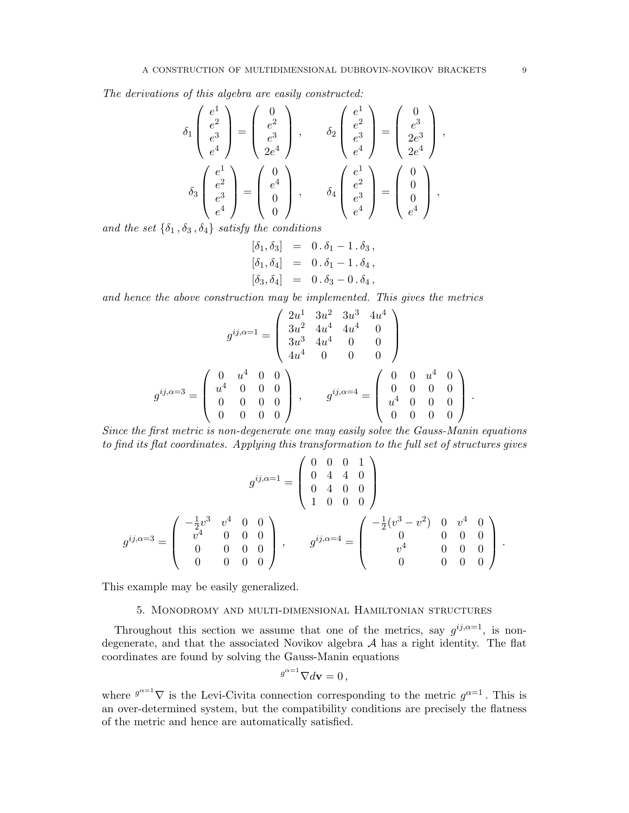The derivations of this algebra are easily constructed:

$$
\delta_1 \begin{pmatrix} e^1 \\ e^2 \\ e^3 \\ e^4 \end{pmatrix} = \begin{pmatrix} 0 \\ e^2 \\ e^3 \\ 2e^4 \end{pmatrix} , \qquad \delta_2 \begin{pmatrix} e^1 \\ e^2 \\ e^3 \\ e^4 \end{pmatrix} = \begin{pmatrix} 0 \\ e^3 \\ 2e^4 \\ 2e^4 \end{pmatrix} ,
$$

$$
\delta_3 \begin{pmatrix} e^1 \\ e^2 \\ e^3 \\ e^4 \end{pmatrix} = \begin{pmatrix} 0 \\ e^4 \\ 0 \\ 0 \end{pmatrix} , \qquad \delta_4 \begin{pmatrix} e^1 \\ e^2 \\ e^3 \\ e^4 \end{pmatrix} = \begin{pmatrix} 0 \\ 0 \\ 0 \\ e^4 \end{pmatrix} ,
$$

and the set  $\{\delta_1, \delta_3, \delta_4\}$  satisfy the conditions

$$
\begin{aligned}\n[\delta_1, \delta_3] &= 0 \cdot \delta_1 - 1 \cdot \delta_3, \\
[\delta_1, \delta_4] &= 0 \cdot \delta_1 - 1 \cdot \delta_4, \\
[\delta_3, \delta_4] &= 0 \cdot \delta_3 - 0 \cdot \delta_4,\n\end{aligned}
$$

and hence the above construction may be implemented. This gives the metrics

$$
g^{ij,\alpha=1} = \begin{pmatrix} 2u^1 & 3u^2 & 3u^3 & 4u^4 \\ 3u^2 & 4u^4 & 4u^4 & 0 \\ 3u^3 & 4u^4 & 0 & 0 \\ 4u^4 & 0 & 0 & 0 \end{pmatrix}
$$

$$
g^{ij,\alpha=3} = \begin{pmatrix} 0 & u^4 & 0 & 0 \\ u^4 & 0 & 0 & 0 \\ 0 & 0 & 0 & 0 \\ 0 & 0 & 0 & 0 \end{pmatrix}, \qquad g^{ij,\alpha=4} = \begin{pmatrix} 0 & 0 & u^4 & 0 \\ 0 & 0 & 0 & 0 \\ u^4 & 0 & 0 & 0 \\ 0 & 0 & 0 & 0 \end{pmatrix}.
$$

Since the first metric is non-degenerate one may easily solve the Gauss-Manin equations to find its flat coordinates. Applying this transformation to the full set of structures gives

$$
g^{ij,\alpha=1} = \begin{pmatrix} 0 & 0 & 0 & 1 \\ 0 & 4 & 4 & 0 \\ 0 & 4 & 0 & 0 \\ 1 & 0 & 0 & 0 \end{pmatrix}
$$

$$
g^{ij,\alpha=3} = \begin{pmatrix} -\frac{1}{2}v^3 & v^4 & 0 & 0 \\ v^4 & 0 & 0 & 0 \\ 0 & 0 & 0 & 0 \\ 0 & 0 & 0 & 0 \end{pmatrix}, \qquad g^{ij,\alpha=4} = \begin{pmatrix} -\frac{1}{2}(v^3 - v^2) & 0 & v^4 & 0 \\ 0 & 0 & 0 & 0 \\ v^4 & 0 & 0 & 0 \\ 0 & 0 & 0 & 0 \end{pmatrix}.
$$

This example may be easily generalized.

## 5. Monodromy and multi-dimensional Hamiltonian structures

Throughout this section we assume that one of the metrics, say  $g^{ij,\alpha=1}$ , is nondegenerate, and that the associated Novikov algebra  $A$  has a right identity. The flat coordinates are found by solving the Gauss-Manin equations

$$
g^{\alpha=1}\nabla d\mathbf{v}=0\,,
$$

where  $g^{\alpha=1} \nabla$  is the Levi-Civita connection corresponding to the metric  $g^{\alpha=1}$ . This is an over-determined system, but the compatibility conditions are precisely the flatness of the metric and hence are automatically satisfied.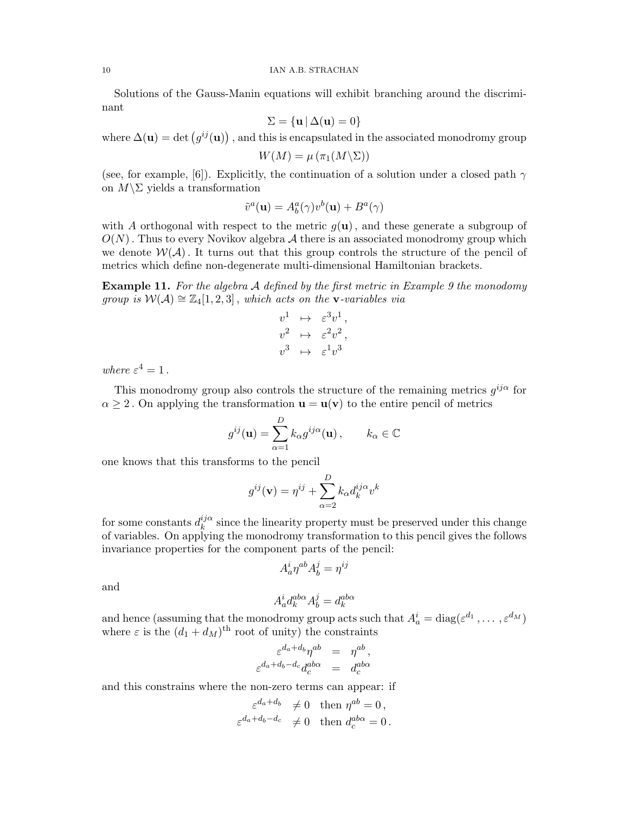Solutions of the Gauss-Manin equations will exhibit branching around the discriminant

$$
\Sigma = {\mathbf{u} \,|\, \Delta(\mathbf{u}) = 0}
$$

where  $\Delta(\mathbf{u}) = \det(g^{ij}(\mathbf{u}))$ , and this is encapsulated in the associated monodromy group

$$
W(M) = \mu \left( \pi_1(M \backslash \Sigma) \right)
$$

(see, for example, [6]). Explicitly, the continuation of a solution under a closed path  $\gamma$ on  $M\$ \Sigma yields a transformation

$$
\tilde{v}^a(\mathbf{u}) = A^a_b(\gamma)v^b(\mathbf{u}) + B^a(\gamma)
$$

with A orthogonal with respect to the metric  $g(\mathbf{u})$ , and these generate a subgroup of  $O(N)$ . Thus to every Novikov algebra  $\mathcal A$  there is an associated monodromy group which we denote  $W(\mathcal{A})$ . It turns out that this group controls the structure of the pencil of metrics which define non-degenerate multi-dimensional Hamiltonian brackets.

**Example 11.** For the algebra  $\mathcal A$  defined by the first metric in Example 9 the monodomy group is  $W(A) \cong \mathbb{Z}_4[1,2,3]$ , which acts on the **v**-variables via

$$
v^{1} \quad \mapsto \quad \varepsilon^{3} v^{1} ,
$$
  
\n
$$
v^{2} \quad \mapsto \quad \varepsilon^{2} v^{2} ,
$$
  
\n
$$
v^{3} \quad \mapsto \quad \varepsilon^{1} v^{3}
$$

where  $\varepsilon^4 = 1$ .

This monodromy group also controls the structure of the remaining metrics  $g^{ij\alpha}$  for  $\alpha \geq 2$ . On applying the transformation  $\mathbf{u} = \mathbf{u}(\mathbf{v})$  to the entire pencil of metrics

$$
g^{ij}(\mathbf{u}) = \sum_{\alpha=1}^{D} k_{\alpha} g^{ij\alpha}(\mathbf{u}), \qquad k_{\alpha} \in \mathbb{C}
$$

one knows that this transforms to the pencil

$$
g^{ij}(\mathbf{v}) = \eta^{ij} + \sum_{\alpha=2}^{D} k_{\alpha} d_k^{ij\alpha} v^k
$$

for some constants  $d_k^{ij\alpha}$  $\frac{y}{k}$  since the linearity property must be preserved under this change of variables. On applying the monodromy transformation to this pencil gives the follows invariance properties for the component parts of the pencil:

$$
A^i_a \eta^{ab} A^j_b = \eta^{ij}
$$

and

$$
A_a^i d_k^{a b \alpha} A_b^j = d_k^{a b \alpha}
$$

and hence (assuming that the monodromy group acts such that  $A_a^i = \text{diag}(\varepsilon^{d_1}, \dots, \varepsilon^{d_M})$ where  $\varepsilon$  is the  $(d_1 + d_M)$ <sup>th</sup> root of unity) the constraints

$$
\varepsilon^{d_a+d_b}\eta^{ab} = \eta^{ab},
$$
  

$$
\varepsilon^{d_a+d_b-d_c}d_c^{ab\alpha} = d_c^{ab\alpha}
$$

and this constrains where the non-zero terms can appear: if

$$
\varepsilon^{d_a+d_b} \neq 0 \quad \text{then } \eta^{ab} = 0,
$$
  

$$
\varepsilon^{d_a+d_b-d_c} \neq 0 \quad \text{then } d_c^{ab\alpha} = 0.
$$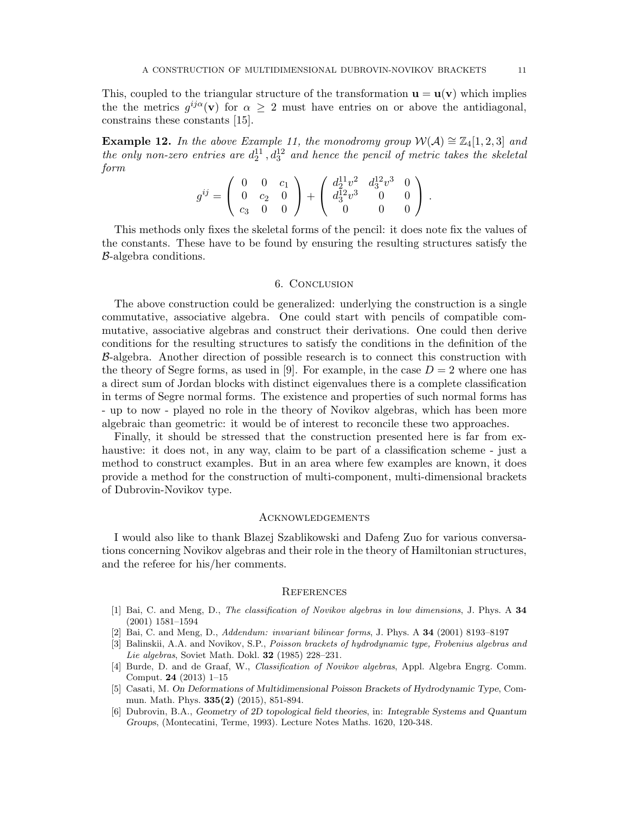This, coupled to the triangular structure of the transformation  $\mathbf{u} = \mathbf{u}(\mathbf{v})$  which implies the the metrics  $g^{ij\alpha}(\mathbf{v})$  for  $\alpha \geq 2$  must have entries on or above the antidiagonal, constrains these constants [15].

Example 12. In the above Example 11, the monodromy group  $W(A) \cong \mathbb{Z}_4[1,2,3]$  and the only non-zero entries are  $d_2^{11}$ ,  $d_3^{12}$  and hence the pencil of metric takes the skeletal form

$$
g^{ij} = \begin{pmatrix} 0 & 0 & c_1 \\ 0 & c_2 & 0 \\ c_3 & 0 & 0 \end{pmatrix} + \begin{pmatrix} d_2^{11}v^2 & d_3^{12}v^3 & 0 \\ d_3^{12}v^3 & 0 & 0 \\ 0 & 0 & 0 \end{pmatrix}.
$$

This methods only fixes the skeletal forms of the pencil: it does note fix the values of the constants. These have to be found by ensuring the resulting structures satisfy the B-algebra conditions.

#### 6. Conclusion

The above construction could be generalized: underlying the construction is a single commutative, associative algebra. One could start with pencils of compatible commutative, associative algebras and construct their derivations. One could then derive conditions for the resulting structures to satisfy the conditions in the definition of the B-algebra. Another direction of possible research is to connect this construction with the theory of Segre forms, as used in [9]. For example, in the case  $D = 2$  where one has a direct sum of Jordan blocks with distinct eigenvalues there is a complete classification in terms of Segre normal forms. The existence and properties of such normal forms has - up to now - played no role in the theory of Novikov algebras, which has been more algebraic than geometric: it would be of interest to reconcile these two approaches.

Finally, it should be stressed that the construction presented here is far from exhaustive: it does not, in any way, claim to be part of a classification scheme - just a method to construct examples. But in an area where few examples are known, it does provide a method for the construction of multi-component, multi-dimensional brackets of Dubrovin-Novikov type.

### **ACKNOWLEDGEMENTS**

I would also like to thank Blazej Szablikowski and Dafeng Zuo for various conversations concerning Novikov algebras and their role in the theory of Hamiltonian structures, and the referee for his/her comments.

#### **REFERENCES**

- [1] Bai, C. and Meng, D., The classification of Novikov algebras in low dimensions, J. Phys. A 34 (2001) 1581–1594
- [2] Bai, C. and Meng, D., Addendum: invariant bilinear forms, J. Phys. A 34 (2001) 8193–8197
- [3] Balinskii, A.A. and Novikov, S.P., Poisson brackets of hydrodynamic type, Frobenius algebras and Lie algebras, Soviet Math. Dokl. **32** (1985) 228-231.
- [4] Burde, D. and de Graaf, W., Classification of Novikov algebras, Appl. Algebra Engrg. Comm. Comput. 24 (2013) 1–15
- [5] Casati, M. On Deformations of Multidimensional Poisson Brackets of Hydrodynamic Type, Commun. Math. Phys. 335(2) (2015), 851-894.
- [6] Dubrovin, B.A., Geometry of 2D topological field theories, in: Integrable Systems and Quantum Groups, (Montecatini, Terme, 1993). Lecture Notes Maths. 1620, 120-348.